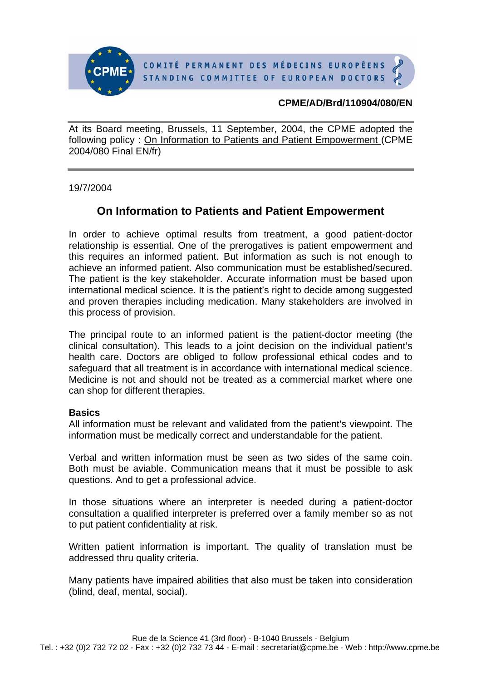

COMITÉ PERMANENT DES MÉDECINS EUROPÉENS STANDING COMMITTEE OF EUROPEAN DOCTORS

### **CPME/AD/Brd/110904/080/EN**

At its Board meeting, Brussels, 11 September, 2004, the CPME adopted the following policy : On Information to Patients and Patient Empowerment (CPME 2004/080 Final EN/fr)

19/7/2004

# **On Information to Patients and Patient Empowerment**

In order to achieve optimal results from treatment, a good patient-doctor relationship is essential. One of the prerogatives is patient empowerment and this requires an informed patient. But information as such is not enough to achieve an informed patient. Also communication must be established/secured. The patient is the key stakeholder. Accurate information must be based upon international medical science. It is the patient's right to decide among suggested and proven therapies including medication. Many stakeholders are involved in this process of provision.

The principal route to an informed patient is the patient-doctor meeting (the clinical consultation). This leads to a joint decision on the individual patient's health care. Doctors are obliged to follow professional ethical codes and to safeguard that all treatment is in accordance with international medical science. Medicine is not and should not be treated as a commercial market where one can shop for different therapies.

#### **Basics**

All information must be relevant and validated from the patient's viewpoint. The information must be medically correct and understandable for the patient.

Verbal and written information must be seen as two sides of the same coin. Both must be aviable. Communication means that it must be possible to ask questions. And to get a professional advice.

In those situations where an interpreter is needed during a patient-doctor consultation a qualified interpreter is preferred over a family member so as not to put patient confidentiality at risk.

Written patient information is important. The quality of translation must be addressed thru quality criteria.

Many patients have impaired abilities that also must be taken into consideration (blind, deaf, mental, social).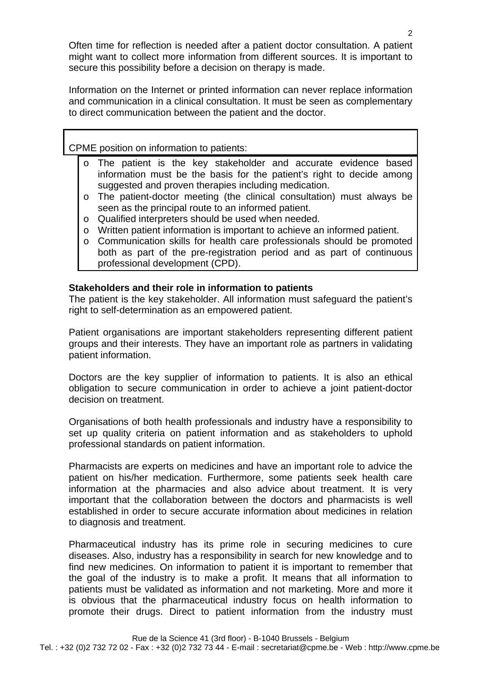Often time for reflection is needed after a patient doctor consultation. A patient might want to collect more information from different sources. It is important to secure this possibility before a decision on therapy is made.

Information on the Internet or printed information can never replace information and communication in a clinical consultation. It must be seen as complementary to direct communication between the patient and the doctor.

### CPME position on information to patients:

- o The patient is the key stakeholder and accurate evidence based information must be the basis for the patient's right to decide among suggested and proven therapies including medication.
- o The patient-doctor meeting (the clinical consultation) must always be seen as the principal route to an informed patient.
- o Qualified interpreters should be used when needed.
- o Written patient information is important to achieve an informed patient.
- o Communication skills for health care professionals should be promoted both as part of the pre-registration period and as part of continuous professional development (CPD).

#### **Stakeholders and their role in information to patients**

The patient is the key stakeholder. All information must safeguard the patient's right to self-determination as an empowered patient.

Patient organisations are important stakeholders representing different patient groups and their interests. They have an important role as partners in validating patient information.

Doctors are the key supplier of information to patients. It is also an ethical obligation to secure communication in order to achieve a joint patient-doctor decision on treatment.

Organisations of both health professionals and industry have a responsibility to set up quality criteria on patient information and as stakeholders to uphold professional standards on patient information.

Pharmacists are experts on medicines and have an important role to advice the patient on his/her medication. Furthermore, some patients seek health care information at the pharmacies and also advice about treatment. It is very important that the collaboration between the doctors and pharmacists is well established in order to secure accurate information about medicines in relation to diagnosis and treatment.

Pharmaceutical industry has its prime role in securing medicines to cure diseases. Also, industry has a responsibility in search for new knowledge and to find new medicines. On information to patient it is important to remember that the goal of the industry is to make a profit. It means that all information to patients must be validated as information and not marketing. More and more it is obvious that the pharmaceutical industry focus on health information to promote their drugs. Direct to patient information from the industry must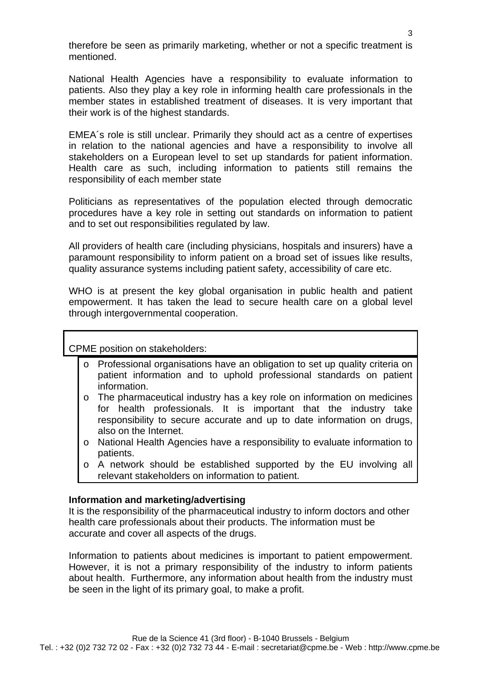therefore be seen as primarily marketing, whether or not a specific treatment is mentioned.

National Health Agencies have a responsibility to evaluate information to patients. Also they play a key role in informing health care professionals in the member states in established treatment of diseases. It is very important that their work is of the highest standards.

EMEA´s role is still unclear. Primarily they should act as a centre of expertises in relation to the national agencies and have a responsibility to involve all stakeholders on a European level to set up standards for patient information. Health care as such, including information to patients still remains the responsibility of each member state

Politicians as representatives of the population elected through democratic procedures have a key role in setting out standards on information to patient and to set out responsibilities regulated by law.

All providers of health care (including physicians, hospitals and insurers) have a paramount responsibility to inform patient on a broad set of issues like results, quality assurance systems including patient safety, accessibility of care etc.

WHO is at present the key global organisation in public health and patient empowerment. It has taken the lead to secure health care on a global level through intergovernmental cooperation.

CPME position on stakeholders:

- o Professional organisations have an obligation to set up quality criteria on patient information and to uphold professional standards on patient information.
- $\circ$  The pharmaceutical industry has a key role on information on medicines for health professionals. It is important that the industry take responsibility to secure accurate and up to date information on drugs, also on the Internet.
- o National Health Agencies have a responsibility to evaluate information to patients.
- o A network should be established supported by the EU involving all relevant stakeholders on information to patient.

## **Information and marketing/advertising**

It is the responsibility of the pharmaceutical industry to inform doctors and other health care professionals about their products. The information must be accurate and cover all aspects of the drugs.

Information to patients about medicines is important to patient empowerment. However, it is not a primary responsibility of the industry to inform patients about health. Furthermore, any information about health from the industry must be seen in the light of its primary goal, to make a profit.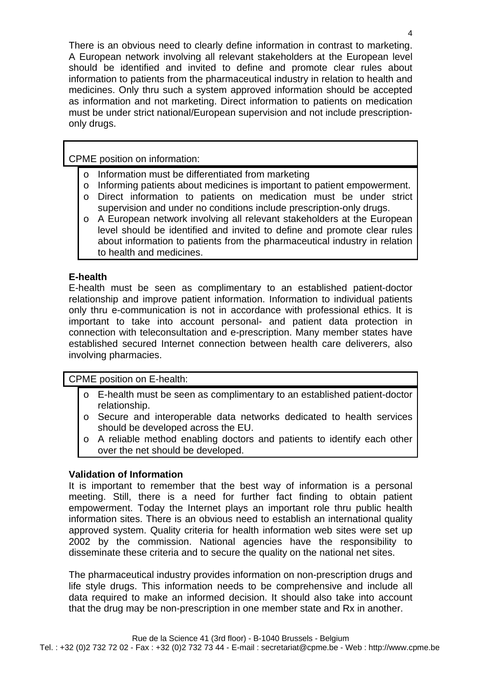There is an obvious need to clearly define information in contrast to marketing. A European network involving all relevant stakeholders at the European level should be identified and invited to define and promote clear rules about information to patients from the pharmaceutical industry in relation to health and medicines. Only thru such a system approved information should be accepted as information and not marketing. Direct information to patients on medication must be under strict national/European supervision and not include prescriptiononly drugs.

CPME position on information:

- o Information must be differentiated from marketing
- o Informing patients about medicines is important to patient empowerment.
- o Direct information to patients on medication must be under strict supervision and under no conditions include prescription-only drugs.
- o A European network involving all relevant stakeholders at the European level should be identified and invited to define and promote clear rules about information to patients from the pharmaceutical industry in relation to health and medicines.

# **E-health**

E-health must be seen as complimentary to an established patient-doctor relationship and improve patient information. Information to individual patients only thru e-communication is not in accordance with professional ethics. It is important to take into account personal- and patient data protection in connection with teleconsultation and e-prescription. Many member states have established secured Internet connection between health care deliverers, also involving pharmacies.

CPME position on E-health:

- o E-health must be seen as complimentary to an established patient-doctor relationship.
- o Secure and interoperable data networks dedicated to health services should be developed across the EU.
- o A reliable method enabling doctors and patients to identify each other over the net should be developed.

# **Validation of Information**

It is important to remember that the best way of information is a personal meeting. Still, there is a need for further fact finding to obtain patient empowerment. Today the Internet plays an important role thru public health information sites. There is an obvious need to establish an international quality approved system. Quality criteria for health information web sites were set up 2002 by the commission. National agencies have the responsibility to disseminate these criteria and to secure the quality on the national net sites.

The pharmaceutical industry provides information on non-prescription drugs and life style drugs. This information needs to be comprehensive and include all data required to make an informed decision. It should also take into account that the drug may be non-prescription in one member state and Rx in another.